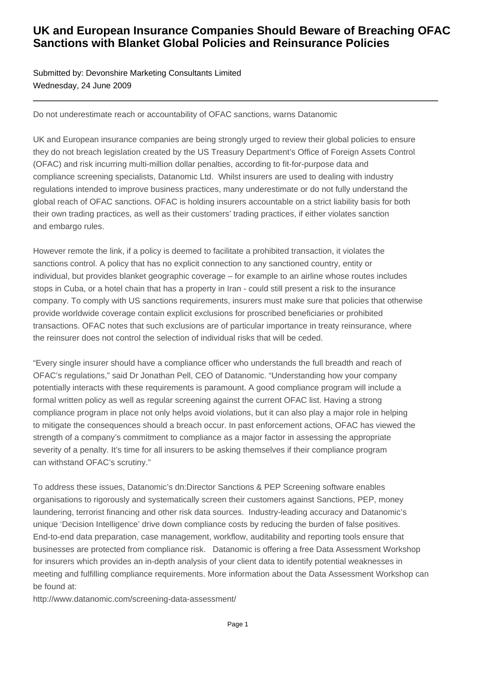## **UK and European Insurance Companies Should Beware of Breaching OFAC Sanctions with Blanket Global Policies and Reinsurance Policies**

## Submitted by: Devonshire Marketing Consultants Limited Wednesday, 24 June 2009

Do not underestimate reach or accountability of OFAC sanctions, warns Datanomic

UK and European insurance companies are being strongly urged to review their global policies to ensure they do not breach legislation created by the US Treasury Department's Office of Foreign Assets Control (OFAC) and risk incurring multi-million dollar penalties, according to fit-for-purpose data and compliance screening specialists, Datanomic Ltd. Whilst insurers are used to dealing with industry regulations intended to improve business practices, many underestimate or do not fully understand the global reach of OFAC sanctions. OFAC is holding insurers accountable on a strict liability basis for both their own trading practices, as well as their customers' trading practices, if either violates sanction and embargo rules.

However remote the link, if a policy is deemed to facilitate a prohibited transaction, it violates the sanctions control. A policy that has no explicit connection to any sanctioned country, entity or individual, but provides blanket geographic coverage – for example to an airline whose routes includes stops in Cuba, or a hotel chain that has a property in Iran - could still present a risk to the insurance company. To comply with US sanctions requirements, insurers must make sure that policies that otherwise provide worldwide coverage contain explicit exclusions for proscribed beneficiaries or prohibited transactions. OFAC notes that such exclusions are of particular importance in treaty reinsurance, where the reinsurer does not control the selection of individual risks that will be ceded.

"Every single insurer should have a compliance officer who understands the full breadth and reach of OFAC's regulations," said Dr Jonathan Pell, CEO of Datanomic. "Understanding how your company potentially interacts with these requirements is paramount. A good compliance program will include a formal written policy as well as regular screening against the current OFAC list. Having a strong compliance program in place not only helps avoid violations, but it can also play a major role in helping to mitigate the consequences should a breach occur. In past enforcement actions, OFAC has viewed the strength of a company's commitment to compliance as a major factor in assessing the appropriate severity of a penalty. It's time for all insurers to be asking themselves if their compliance program can withstand OFAC's scrutiny."

To address these issues, Datanomic's dn:Director Sanctions & PEP Screening software enables organisations to rigorously and systematically screen their customers against Sanctions, PEP, money laundering, terrorist financing and other risk data sources. Industry-leading accuracy and Datanomic's unique 'Decision Intelligence' drive down compliance costs by reducing the burden of false positives. End-to-end data preparation, case management, workflow, auditability and reporting tools ensure that businesses are protected from compliance risk. Datanomic is offering a free Data Assessment Workshop for insurers which provides an in-depth analysis of your client data to identify potential weaknesses in meeting and fulfilling compliance requirements. More information about the Data Assessment Workshop can be found at:

http://www.datanomic.com/screening-data-assessment/